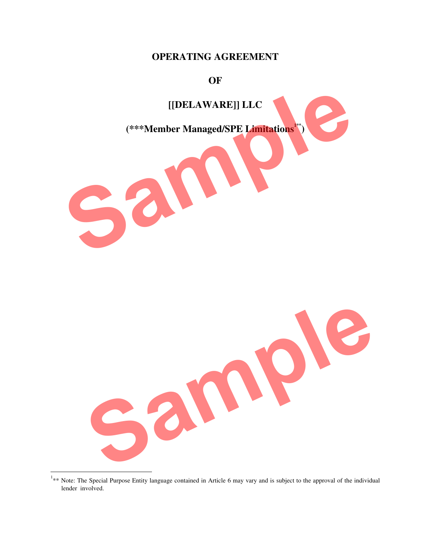## **OPERATING AGREEMENT**

#### **OF**



<sup>&</sup>lt;sup>1</sup>\*\* Note: The Special Purpose Entity language contained in Article 6 may vary and is subject to the approval of the individual lender involved.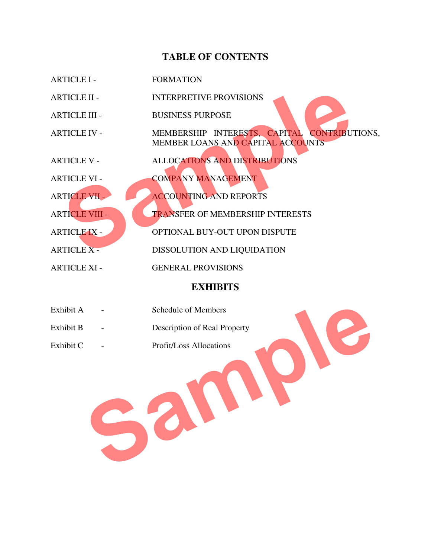# **TABLE OF CONTENTS**

|                  | <b>ARTICLE I -</b>    | <b>FORMATION</b>                                                                         |  |
|------------------|-----------------------|------------------------------------------------------------------------------------------|--|
|                  | <b>ARTICLE II -</b>   | <b>INTERPRETIVE PROVISIONS</b>                                                           |  |
|                  | <b>ARTICLE III -</b>  | <b>BUSINESS PURPOSE</b>                                                                  |  |
|                  | <b>ARTICLE IV -</b>   | MEMBERSHIP INTERESTS, CAPITAL CONTRIBUTIONS,<br><b>MEMBER LOANS AND CAPITAL ACCOUNTS</b> |  |
|                  | <b>ARTICLE V -</b>    | <b>ALLOCATIONS AND DISTRIBUTIONS</b>                                                     |  |
|                  | <b>ARTICLE VI -</b>   | <b>COMPANY MANAGEMENT</b>                                                                |  |
|                  | <b>ARTICLE VII -</b>  | <b>ACCOUNTING AND REPORTS</b>                                                            |  |
|                  | <b>ARTICLE VIII -</b> | <b>TRANSFER OF MEMBERSHIP INTERESTS</b>                                                  |  |
|                  | <b>ARTICLE IX -</b>   | OPTIONAL BUY-OUT UPON DISPUTE                                                            |  |
|                  | <b>ARTICLE X -</b>    | DISSOLUTION AND LIQUIDATION                                                              |  |
|                  | <b>ARTICLE XI -</b>   | <b>GENERAL PROVISIONS</b>                                                                |  |
| <b>EVITIDING</b> |                       |                                                                                          |  |

#### **EXHIBITS**

| Exhibit A | Schedule of Members          |
|-----------|------------------------------|
| Exhibit B | Description of Real Property |
| Exhibit C | Profit/Loss Allocations      |
|           |                              |